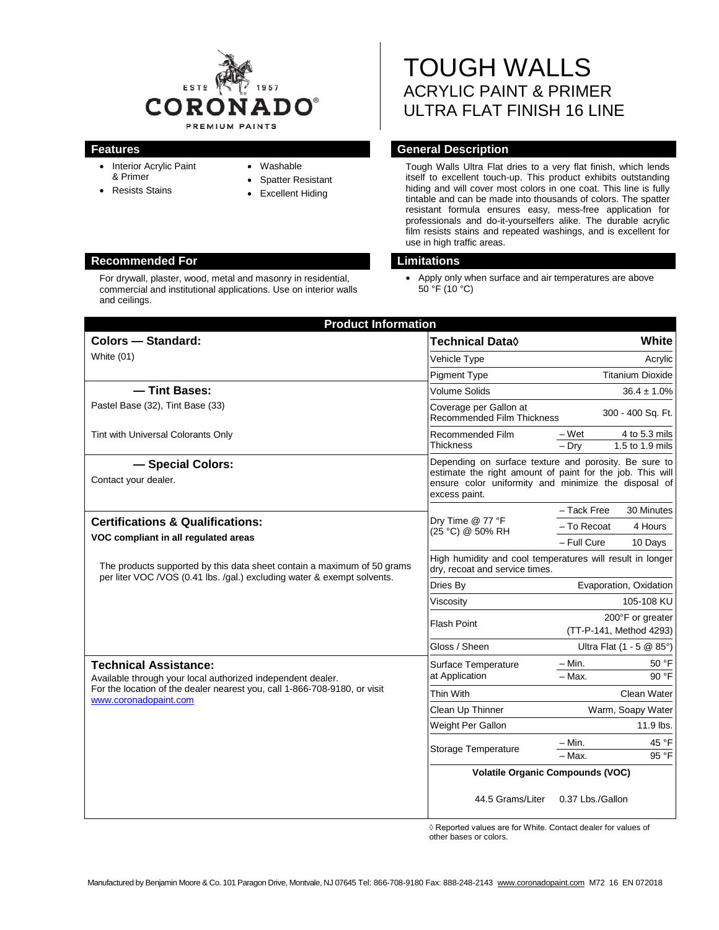

- Interior Acrylic Paint & Primer
- Resists Stains
- Washable
- **Spatter Resistant**
- Excellent Hiding

# **Recommended For Limitations**

For drywall, plaster, wood, metal and masonry in residential, commercial and institutional applications. Use on interior walls and ceilings.

# TOUGH WALLS ACRYLIC PAINT & PRIMER ULTRA FLAT FINISH 16 LINE

# **Features General Description**

Tough Walls Ultra Flat dries to a very flat finish, which lends itself to excellent touch-up. This product exhibits outstanding hiding and will cover most colors in one coat. This line is fully tintable and can be made into thousands of colors. The spatter resistant formula ensures easy, mess-free application for professionals and do-it-yourselfers alike. The durable acrylic film resists stains and repeated washings, and is excellent for use in high traffic areas.

• Apply only when surface and air temperatures are above  $50^{\circ}$ F (10 $^{\circ}$ C)

| <b>Product Information</b>                                                                                                                                                                        |                                                                                                                                                                                             |                                             |
|---------------------------------------------------------------------------------------------------------------------------------------------------------------------------------------------------|---------------------------------------------------------------------------------------------------------------------------------------------------------------------------------------------|---------------------------------------------|
| Colors - Standard:                                                                                                                                                                                | Technical Data◊                                                                                                                                                                             | White                                       |
| White (01)                                                                                                                                                                                        | Vehicle Type                                                                                                                                                                                | Acrylic                                     |
|                                                                                                                                                                                                   | <b>Pigment Type</b>                                                                                                                                                                         | <b>Titanium Dioxide</b>                     |
| - Tint Bases:                                                                                                                                                                                     | Volume Solids                                                                                                                                                                               | $36.4 \pm 1.0\%$                            |
| Pastel Base (32), Tint Base (33)                                                                                                                                                                  | Coverage per Gallon at<br><b>Recommended Film Thickness</b>                                                                                                                                 | 300 - 400 Sq. Ft.                           |
| Tint with Universal Colorants Only                                                                                                                                                                | Recommended Film                                                                                                                                                                            | – Wet<br>4 to 5.3 mils                      |
|                                                                                                                                                                                                   | <b>Thickness</b>                                                                                                                                                                            | 1.5 to 1.9 mils<br>$-$ Drv                  |
| - Special Colors:<br>Contact your dealer.                                                                                                                                                         | Depending on surface texture and porosity. Be sure to<br>estimate the right amount of paint for the job. This will<br>ensure color uniformity and minimize the disposal of<br>excess paint. |                                             |
|                                                                                                                                                                                                   | Dry Time @ 77 °F<br>(25 °C) @ 50% RH                                                                                                                                                        | - Tack Free<br>30 Minutes                   |
| <b>Certifications &amp; Qualifications:</b>                                                                                                                                                       |                                                                                                                                                                                             | - To Recoat<br>4 Hours                      |
| VOC compliant in all regulated areas                                                                                                                                                              |                                                                                                                                                                                             | - Full Cure<br>10 Days                      |
| The products supported by this data sheet contain a maximum of 50 grams<br>per liter VOC /VOS (0.41 lbs. /gal.) excluding water & exempt solvents.                                                | High humidity and cool temperatures will result in longer<br>dry, recoat and service times.                                                                                                 |                                             |
|                                                                                                                                                                                                   | Dries By                                                                                                                                                                                    | Evaporation, Oxidation                      |
|                                                                                                                                                                                                   | Viscosity                                                                                                                                                                                   | 105-108 KU                                  |
|                                                                                                                                                                                                   | <b>Flash Point</b>                                                                                                                                                                          | 200°F or greater<br>(TT-P-141, Method 4293) |
|                                                                                                                                                                                                   | Gloss / Sheen                                                                                                                                                                               | Ultra Flat $(1 - 5 \& 85^{\circ})$          |
| <b>Technical Assistance:</b><br>Available through your local authorized independent dealer.<br>For the location of the dealer nearest you, call 1-866-708-9180, or visit<br>www.coronadopaint.com | Surface Temperature<br>at Application                                                                                                                                                       | 50 °F<br>– Min.                             |
|                                                                                                                                                                                                   |                                                                                                                                                                                             | 90 °F<br>$-$ Max.                           |
|                                                                                                                                                                                                   | Thin With                                                                                                                                                                                   | Clean Water                                 |
|                                                                                                                                                                                                   | Clean Up Thinner                                                                                                                                                                            | Warm, Soapy Water                           |
|                                                                                                                                                                                                   | Weight Per Gallon                                                                                                                                                                           | 11.9 lbs.                                   |
|                                                                                                                                                                                                   | Storage Temperature                                                                                                                                                                         | - Min.<br>45 °F                             |
|                                                                                                                                                                                                   |                                                                                                                                                                                             | 95 °F<br>- Max.                             |
|                                                                                                                                                                                                   | <b>Volatile Organic Compounds (VOC)</b>                                                                                                                                                     |                                             |
|                                                                                                                                                                                                   | 44.5 Grams/Liter                                                                                                                                                                            | 0.37 Lbs./Gallon                            |

◊ Reported values are for White. Contact dealer for values of other bases or colors.